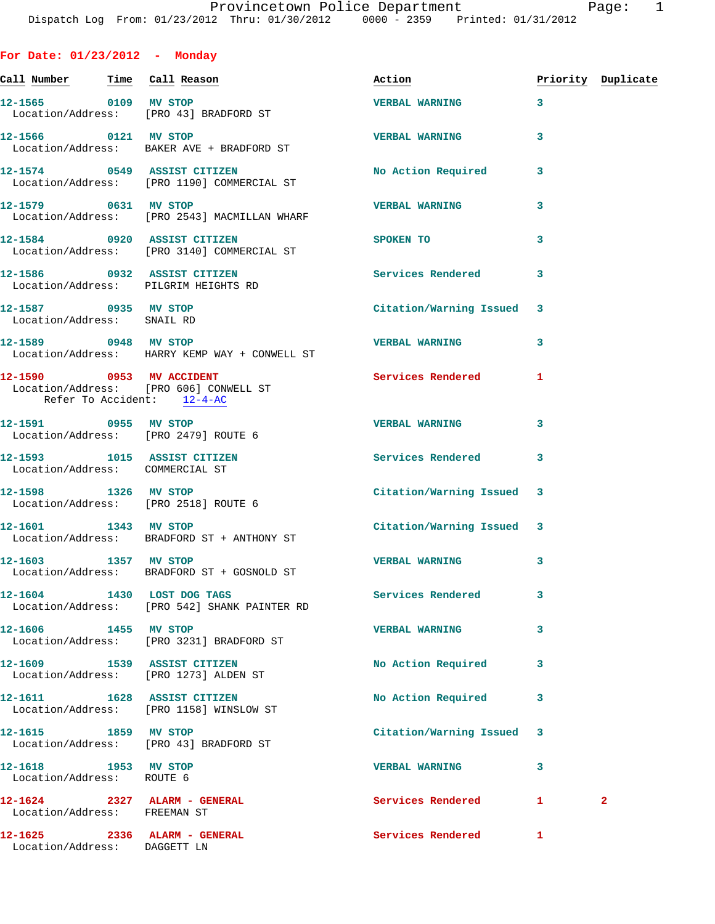| For Date: $01/23/2012$ - Monday                    |                                                                            |                           |   |                    |
|----------------------------------------------------|----------------------------------------------------------------------------|---------------------------|---|--------------------|
| <u>Call Number — Time Call Reason</u>              |                                                                            | Action                    |   | Priority Duplicate |
| 12-1565 0109 MV STOP                               | Location/Address: [PRO 43] BRADFORD ST                                     | <b>VERBAL WARNING</b>     | 3 |                    |
|                                                    | 12-1566 0121 MV STOP<br>Location/Address: BAKER AVE + BRADFORD ST          | <b>VERBAL WARNING</b>     | 3 |                    |
| 12-1574 0549 ASSIST CITIZEN                        | Location/Address: [PRO 1190] COMMERCIAL ST                                 | <b>No Action Required</b> | 3 |                    |
|                                                    | 12-1579 0631 MV STOP<br>Location/Address: [PRO 2543] MACMILLAN WHARF       | <b>VERBAL WARNING</b>     | 3 |                    |
|                                                    | 12-1584 0920 ASSIST CITIZEN<br>Location/Address: [PRO 3140] COMMERCIAL ST  | SPOKEN TO                 | 3 |                    |
|                                                    | 12-1586 0932 ASSIST CITIZEN<br>Location/Address: PILGRIM HEIGHTS RD        | Services Rendered         | 3 |                    |
| 12-1587 0935 MV STOP<br>Location/Address: SNAIL RD |                                                                            | Citation/Warning Issued 3 |   |                    |
| 12-1589 0948 MV STOP                               | Location/Address: HARRY KEMP WAY + CONWELL ST                              | <b>VERBAL WARNING</b>     | 3 |                    |
| Refer To Accident: 12-4-AC                         | 12-1590 0953 MV ACCIDENT<br>Location/Address: [PRO 606] CONWELL ST         | Services Rendered         | 1 |                    |
|                                                    | 12-1591 0955 MV STOP<br>Location/Address: [PRO 2479] ROUTE 6               | <b>VERBAL WARNING</b>     | 3 |                    |
| Location/Address: COMMERCIAL ST                    | 12-1593 1015 ASSIST CITIZEN                                                | Services Rendered         | 3 |                    |
| 12-1598 1326 MV STOP                               | Location/Address: [PRO 2518] ROUTE 6                                       | Citation/Warning Issued 3 |   |                    |
|                                                    | 12-1601 1343 MV STOP<br>Location/Address: BRADFORD ST + ANTHONY ST         | Citation/Warning Issued 3 |   |                    |
| 12-1603 1357 MV STOP                               | Location/Address: BRADFORD ST + GOSNOLD ST                                 | <b>VERBAL WARNING</b>     | 3 |                    |
|                                                    | 12-1604 1430 LOST DOG TAGS<br>Location/Address: [PRO 542] SHANK PAINTER RD | Services Rendered         | 3 |                    |
| 12-1606 1455 MV STOP                               | Location/Address: [PRO 3231] BRADFORD ST                                   | <b>VERBAL WARNING</b>     | 3 |                    |
|                                                    | 12-1609 1539 ASSIST CITIZEN<br>Location/Address: [PRO 1273] ALDEN ST       | No Action Required        | 3 |                    |
|                                                    | 12-1611 1628 ASSIST CITIZEN<br>Location/Address: [PRO 1158] WINSLOW ST     | No Action Required        | 3 |                    |
|                                                    | 12-1615 1859 MV STOP<br>Location/Address: [PRO 43] BRADFORD ST             | Citation/Warning Issued   | 3 |                    |
| 12-1618 1953 MV STOP<br>Location/Address: ROUTE 6  |                                                                            | <b>VERBAL WARNING</b>     | 3 |                    |
| 12-1624                                            | 2327 ALARM - GENERAL                                                       | Services Rendered         | 1 | 2                  |

 Location/Address: FREEMAN ST **12-1625 2336 ALARM - GENERAL Services Rendered 1**  Location/Address: DAGGETT LN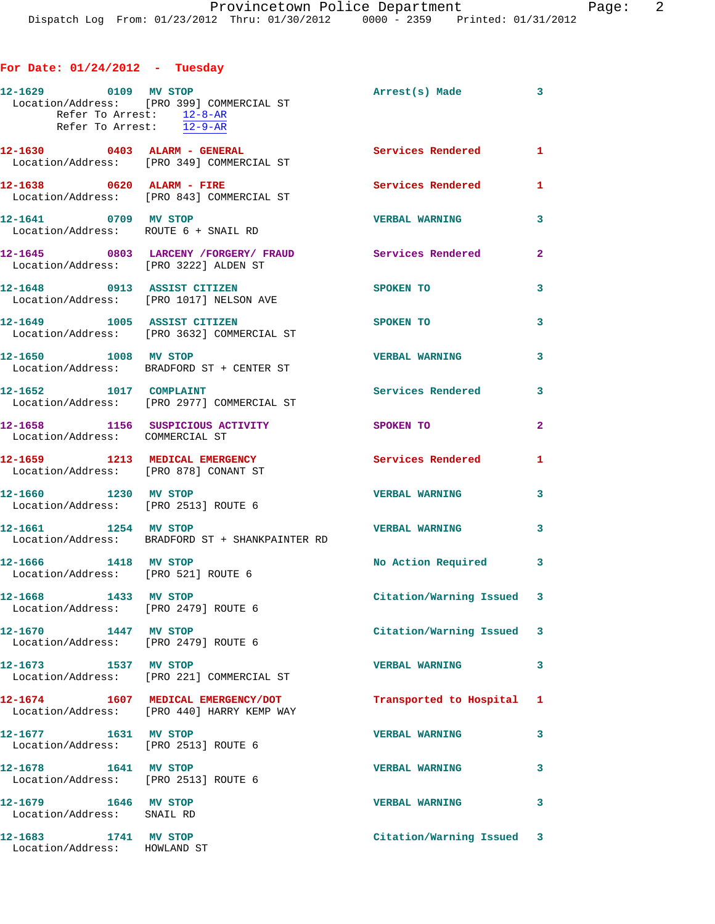## **For Date: 01/24/2012 - Tuesday**

| 12-1629 0109 MV STOP                                                    | Location/Address: [PRO 399] COMMERCIAL ST<br>Refer To Arrest: 12-8-AR<br>Refer To Arrest: 12-9-AR | Arrest(s) Made            | 3            |
|-------------------------------------------------------------------------|---------------------------------------------------------------------------------------------------|---------------------------|--------------|
| $12-1630$ 0403 ALARM - GENERAL                                          | Location/Address: [PRO 349] COMMERCIAL ST                                                         | <b>Services Rendered</b>  | $\mathbf{1}$ |
|                                                                         | $12 - 1638$ 0620 ALARM - FIRE<br>Location/Address: [PRO 843] COMMERCIAL ST                        | Services Rendered         | 1            |
| 12-1641 0709 MV STOP                                                    | Location/Address: ROUTE 6 + SNAIL RD                                                              | <b>VERBAL WARNING</b>     | 3            |
| Location/Address: [PRO 3222] ALDEN ST                                   | 12-1645 0803 LARCENY / FORGERY / FRAUD                                                            | <b>Services Rendered</b>  | $\mathbf{2}$ |
| 12-1648 0913 ASSIST CITIZEN                                             | Location/Address: [PRO 1017] NELSON AVE                                                           | SPOKEN TO                 | 3            |
|                                                                         | 12-1649 1005 ASSIST CITIZEN<br>Location/Address: [PRO 3632] COMMERCIAL ST                         | SPOKEN TO                 | 3            |
| 12-1650 1008 MV STOP                                                    | Location/Address: BRADFORD ST + CENTER ST                                                         | <b>VERBAL WARNING</b>     | 3            |
| 12-1652 1017 COMPLAINT                                                  | Location/Address: [PRO 2977] COMMERCIAL ST                                                        | Services Rendered         | 3            |
| Location/Address: COMMERCIAL ST                                         | 12-1658 1156 SUSPICIOUS ACTIVITY                                                                  | SPOKEN TO                 | $\mathbf{2}$ |
| 12-1659 1213 MEDICAL EMERGENCY<br>Location/Address: [PRO 878] CONANT ST |                                                                                                   | Services Rendered         | 1            |
| 12-1660 1230 MV STOP<br>Location/Address: [PRO 2513] ROUTE 6            |                                                                                                   | <b>VERBAL WARNING</b>     | 3            |
| 12-1661 1254 MV STOP                                                    | Location/Address: BRADFORD ST + SHANKPAINTER RD                                                   | <b>VERBAL WARNING</b>     | 3            |
| 12-1666 1418 MV STOP<br>Location/Address: [PRO 521] ROUTE 6             |                                                                                                   | No Action Required        | 3            |
| 1433 MV STOP<br>12-1668<br>Location/Address: [PRO 2479] ROUTE 6         |                                                                                                   | Citation/Warning Issued 3 |              |
| 12-1670 1447 MV STOP<br>Location/Address: [PRO 2479] ROUTE 6            |                                                                                                   | Citation/Warning Issued 3 |              |
|                                                                         | 12-1673 1537 MV STOP<br>Location/Address: [PRO 221] COMMERCIAL ST                                 | <b>VERBAL WARNING</b>     | 3            |
|                                                                         | 12-1674 1607 MEDICAL EMERGENCY/DOT<br>Location/Address: [PRO 440] HARRY KEMP WAY                  | Transported to Hospital 1 |              |
| 12-1677    1631 MV STOP<br>Location/Address: [PRO 2513] ROUTE 6         |                                                                                                   | <b>VERBAL WARNING</b>     | 3            |
| 12-1678 1641 MV STOP<br>Location/Address: [PRO 2513] ROUTE 6            |                                                                                                   | <b>VERBAL WARNING</b>     | 3            |
| 12-1679 1646 MV STOP<br>Location/Address: SNAIL RD                      |                                                                                                   | <b>VERBAL WARNING</b>     | 3            |
| 12-1683 1741 MV STOP<br>Location/Address: HOWLAND ST                    |                                                                                                   | Citation/Warning Issued 3 |              |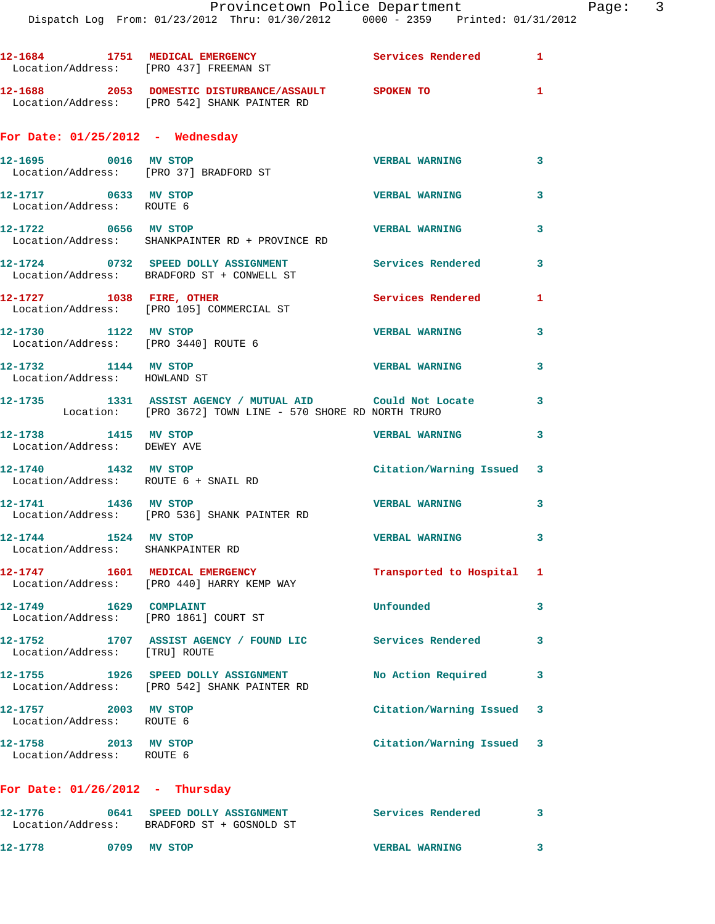|                                                                       | 12-1684 1751 MEDICAL EMERGENCY                                                                                        | Services Rendered 1       |              |
|-----------------------------------------------------------------------|-----------------------------------------------------------------------------------------------------------------------|---------------------------|--------------|
|                                                                       | Location/Address: [PRO 437] FREEMAN ST                                                                                |                           |              |
|                                                                       | 12-1688 2053 DOMESTIC DISTURBANCE/ASSAULT SPOKEN TO<br>Location/Address: [PRO 542] SHANK PAINTER RD                   |                           | $\mathbf{1}$ |
| For Date: $01/25/2012$ - Wednesday                                    |                                                                                                                       |                           |              |
| 12-1695 0016 MV STOP                                                  | Location/Address: [PRO 37] BRADFORD ST                                                                                | <b>VERBAL WARNING</b>     | 3            |
| 12-1717 0633 MV STOP<br>Location/Address: ROUTE 6                     |                                                                                                                       | <b>VERBAL WARNING</b>     | 3            |
| 12-1722 0656 MV STOP                                                  | Location/Address: SHANKPAINTER RD + PROVINCE RD                                                                       | <b>VERBAL WARNING</b>     | 3            |
|                                                                       | 12-1724 0732 SPEED DOLLY ASSIGNMENT<br>Location/Address: BRADFORD ST + CONWELL ST                                     | <b>Services Rendered</b>  | 3            |
| 12-1727 1038 FIRE, OTHER                                              | Location/Address: [PRO 105] COMMERCIAL ST                                                                             | Services Rendered         | 1            |
| 12-1730 1122 MV STOP<br>Location/Address: [PRO 3440] ROUTE 6          |                                                                                                                       | <b>VERBAL WARNING</b>     | 3            |
| 12-1732 1144 MV STOP<br>Location/Address: HOWLAND ST                  |                                                                                                                       | <b>VERBAL WARNING</b>     | 3            |
|                                                                       | 12-1735 1331 ASSIST AGENCY / MUTUAL AID Could Not Locate<br>Location: [PRO 3672] TOWN LINE - 570 SHORE RD NORTH TRURO |                           | 3            |
| 12-1738 1415 MV STOP<br>Location/Address: DEWEY AVE                   |                                                                                                                       | <b>VERBAL WARNING</b>     | 3            |
| 12-1740 1432 MV STOP<br>Location/Address: ROUTE 6 + SNAIL RD          |                                                                                                                       | Citation/Warning Issued 3 |              |
| 12-1741 1436 MV STOP                                                  | Location/Address: [PRO 536] SHANK PAINTER RD                                                                          | <b>VERBAL WARNING</b>     | 3            |
| 12-1744 1524 MV STOP<br>Location/Address: SHANKPAINTER RD             |                                                                                                                       | <b>VERBAL WARNING</b>     | 3            |
|                                                                       | 12-1747 1601 MEDICAL EMERGENCY<br>Location/Address: [PRO 440] HARRY KEMP WAY                                          | Transported to Hospital 1 |              |
| 12-1749    1629    COMPLAINT<br>Location/Address: [PRO 1861] COURT ST |                                                                                                                       | Unfounded                 | 3            |
| Location/Address: [TRU] ROUTE                                         | 12-1752 1707 ASSIST AGENCY / FOUND LIC Services Rendered                                                              |                           | 3            |
|                                                                       | 12-1755 1926 SPEED DOLLY ASSIGNMENT<br>Location/Address: [PRO 542] SHANK PAINTER RD                                   | No Action Required        | 3            |
| 12-1757 2003 MV STOP<br>Location/Address: ROUTE 6                     |                                                                                                                       | Citation/Warning Issued 3 |              |
| 12-1758 2013 MV STOP<br>Location/Address: ROUTE 6                     |                                                                                                                       | Citation/Warning Issued 3 |              |
| For Date: $01/26/2012$ - Thursday                                     |                                                                                                                       |                           |              |

## **12-1776 0641 SPEED DOLLY ASSIGNMENT Services Rendered 3**  Location/Address: BRADFORD ST + GOSNOLD ST **12-1778 0709 MV STOP VERBAL WARNING 3**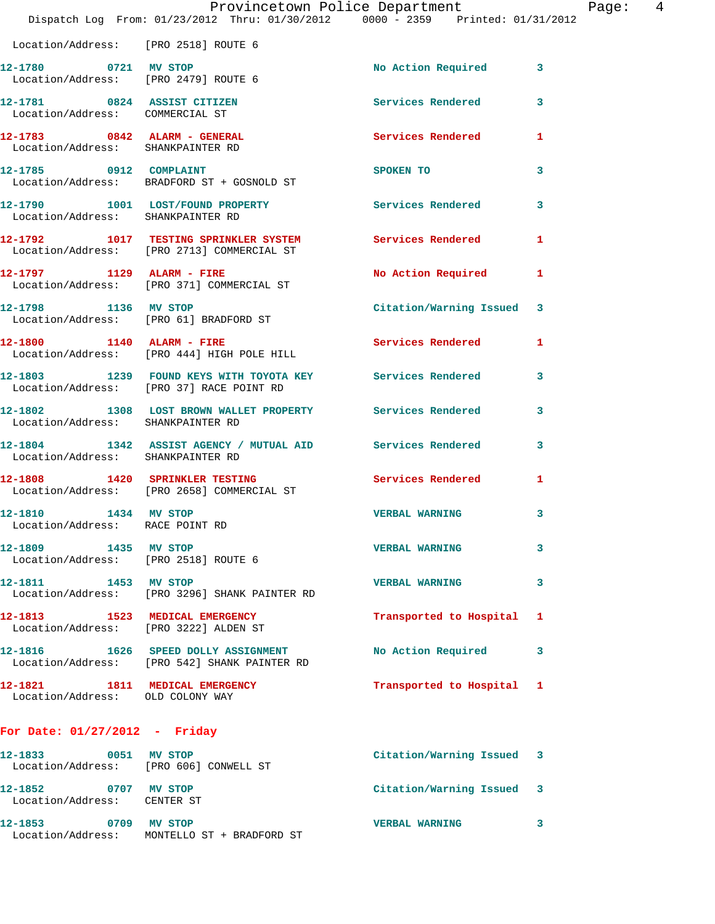|                                                                         | Provincetown Police Department<br>Dispatch Log From: 01/23/2012 Thru: 01/30/2012 0000 - 2359 Printed: 01/31/2012 |                           |   |
|-------------------------------------------------------------------------|------------------------------------------------------------------------------------------------------------------|---------------------------|---|
| Location/Address: [PRO 2518] ROUTE 6                                    |                                                                                                                  |                           |   |
| 12-1780 0721 MV STOP<br>Location/Address: [PRO 2479] ROUTE 6            |                                                                                                                  | No Action Required        | 3 |
| 12-1781 0824 ASSIST CITIZEN<br>Location/Address: COMMERCIAL ST          |                                                                                                                  | Services Rendered         | 3 |
| 12-1783 0842 ALARM - GENERAL<br>Location/Address: SHANKPAINTER RD       |                                                                                                                  | <b>Services Rendered</b>  | 1 |
|                                                                         | 12-1785 0912 COMPLAINT<br>Location/Address: BRADFORD ST + GOSNOLD ST                                             | SPOKEN TO                 | 3 |
| Location/Address: SHANKPAINTER RD                                       | 12-1790 1001 LOST/FOUND PROPERTY                                                                                 | Services Rendered         | 3 |
|                                                                         | 12-1792 1017 TESTING SPRINKLER SYSTEM<br>Location/Address: [PRO 2713] COMMERCIAL ST                              | Services Rendered         | 1 |
| 12-1797 1129 ALARM - FIRE                                               | Location/Address: [PRO 371] COMMERCIAL ST                                                                        | No Action Required        | 1 |
| 12-1798 1136 MV STOP                                                    | Location/Address: [PRO 61] BRADFORD ST                                                                           | Citation/Warning Issued   | 3 |
|                                                                         | 12-1800 1140 ALARM - FIRE<br>Location/Address: [PRO 444] HIGH POLE HILL                                          | Services Rendered         | 1 |
|                                                                         | 12-1803 1239 FOUND KEYS WITH TOYOTA KEY Services Rendered<br>Location/Address: [PRO 37] RACE POINT RD            |                           | 3 |
| Location/Address: SHANKPAINTER RD                                       | 12-1802 1308 LOST BROWN WALLET PROPERTY Services Rendered                                                        |                           | 3 |
| Location/Address: SHANKPAINTER RD                                       | 12-1804 1342 ASSIST AGENCY / MUTUAL AID Services Rendered                                                        |                           | 3 |
|                                                                         | 12-1808 1420 SPRINKLER TESTING<br>Location/Address: [PRO 2658] COMMERCIAL ST                                     | Services Rendered         | 1 |
| 1434 MV STOP<br>12-1810<br>Location/Address: RACE POINT RD              |                                                                                                                  | <b>VERBAL WARNING</b>     | 3 |
| 12-1809 1435 MV STOP<br>Location/Address: [PRO 2518] ROUTE 6            |                                                                                                                  | <b>VERBAL WARNING</b>     | 3 |
| 12-1811 1453 MV STOP                                                    | Location/Address: [PRO 3296] SHANK PAINTER RD                                                                    | <b>VERBAL WARNING</b>     | 3 |
| 12-1813 1523 MEDICAL EMERGENCY<br>Location/Address: [PRO 3222] ALDEN ST |                                                                                                                  | Transported to Hospital   | ı |
|                                                                         | 12-1816  1626 SPEED DOLLY ASSIGNMENT<br>Location/Address: [PRO 542] SHANK PAINTER RD                             | No Action Required        | 3 |
| 12-1821 1811 MEDICAL EMERGENCY<br>Location/Address: OLD COLONY WAY      |                                                                                                                  | Transported to Hospital 1 |   |
| For Date: $01/27/2012$ - Friday                                         |                                                                                                                  |                           |   |
| Location/Address: [PRO 606] CONWELL ST                                  |                                                                                                                  | Citation/Warning Issued 3 |   |
| 12-1852 0707 MV STOP<br>Location/Address: CENTER ST                     |                                                                                                                  | Citation/Warning Issued 3 |   |
| 12-1853 0709 MV STOP                                                    |                                                                                                                  | <b>VERBAL WARNING</b>     | 3 |

Location/Address: MONTELLO ST + BRADFORD ST

Page: 4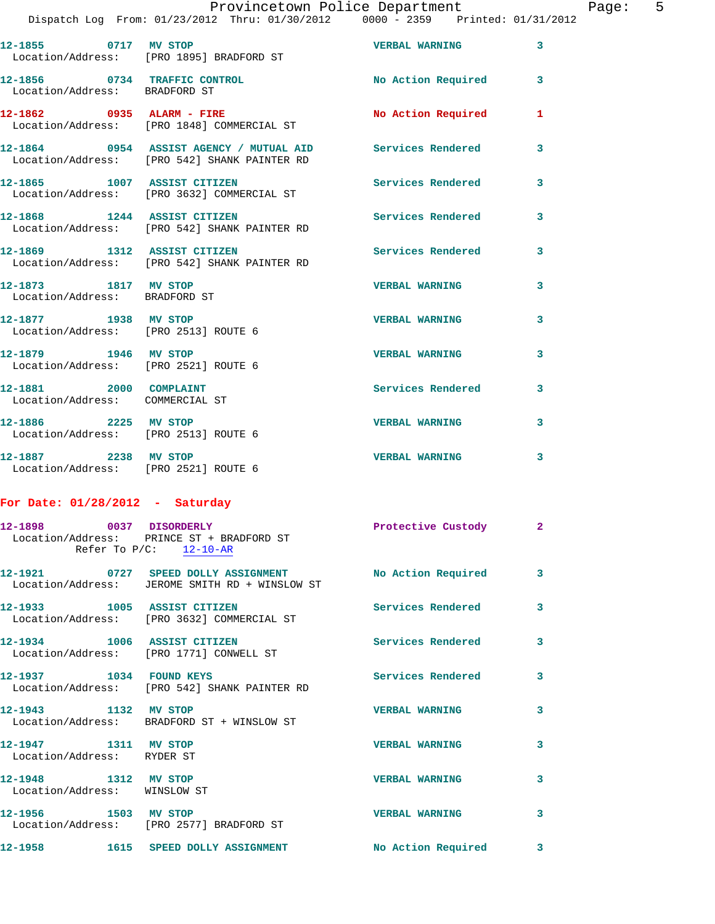| Provincetown Police Department |  |  |                                |                                     | Page: | - 5 |  |  |
|--------------------------------|--|--|--------------------------------|-------------------------------------|-------|-----|--|--|
|                                |  |  | m: 01/23/2012 Thru: 01/30/2012 | $0000 - 2359$ Printed: $01/31/2012$ |       |     |  |  |

|                                                               | Dispatch Log From: 01/23/2012 Thru: 01/30/2012 0000 - 2359 Printed: 01/31/              |                          |                         |
|---------------------------------------------------------------|-----------------------------------------------------------------------------------------|--------------------------|-------------------------|
| 12-1855 0717 MV STOP                                          | Location/Address: [PRO 1895] BRADFORD ST                                                | <b>VERBAL WARNING</b>    | $\mathbf{3}$            |
| 12-1856 0734 TRAFFIC CONTROL<br>Location/Address: BRADFORD ST |                                                                                         | No Action Required       | $\mathbf{3}$            |
|                                                               | 12-1862 0935 ALARM - FIRE<br>Location/Address: [PRO 1848] COMMERCIAL ST                 | No Action Required       | $\mathbf{1}$            |
|                                                               | 12-1864 0954 ASSIST AGENCY / MUTUAL AID<br>Location/Address: [PRO 542] SHANK PAINTER RD | Services Rendered        | $\overline{\mathbf{3}}$ |
|                                                               | 12-1865 1007 ASSIST CITIZEN<br>Location/Address: [PRO 3632] COMMERCIAL ST               | Services Rendered        | $\mathbf{3}$            |
|                                                               | 12-1868 1244 ASSIST CITIZEN<br>Location/Address: [PRO 542] SHANK PAINTER RD             | Services Rendered        | $\overline{\mathbf{3}}$ |
| 12-1869 1312 ASSIST CITIZEN                                   | Location/Address: [PRO 542] SHANK PAINTER RD                                            | <b>Services Rendered</b> | $\overline{\mathbf{3}}$ |
| 12-1873 1817 MV STOP<br>Location/Address: BRADFORD ST         |                                                                                         | <b>VERBAL WARNING</b>    | $\overline{\mathbf{3}}$ |
| 12-1877 1938 MV STOP<br>Location/Address: [PRO 2513] ROUTE 6  |                                                                                         | <b>VERBAL WARNING</b>    | $\overline{\mathbf{3}}$ |
| 12-1879 1946 MV STOP<br>Location/Address: [PRO 2521] ROUTE 6  |                                                                                         | <b>VERBAL WARNING</b>    | $\overline{\mathbf{3}}$ |
| 12-1881 2000 COMPLAINT<br>Location/Address: COMMERCIAL ST     |                                                                                         | Services Rendered        | 3                       |
| 12-1886 2225 MV STOP<br>Location/Address: [PRO 2513] ROUTE 6  |                                                                                         | <b>VERBAL WARNING</b>    | 3                       |
| 12-1887 2238 MV STOP                                          |                                                                                         | <b>VERBAL WARNING</b>    | 3                       |

## **For Date: 01/28/2012 - Saturday**

Location/Address: [PRO 2521] ROUTE 6

|                                                      | 12-1898 0037 DISORDERLY<br>Location/Address: PRINCE ST + BRADFORD ST<br>Refer To $P/C$ : 12-10-AR | Protective Custody 2     |                         |
|------------------------------------------------------|---------------------------------------------------------------------------------------------------|--------------------------|-------------------------|
|                                                      | Location/Address: JEROME SMITH RD + WINSLOW ST                                                    |                          | $\mathbf{3}$            |
| 12-1933 1005 ASSIST CITIZEN                          | Location/Address: [PRO 3632] COMMERCIAL ST                                                        | <b>Services Rendered</b> | $\mathbf{3}$            |
|                                                      | 12-1934 1006 ASSIST CITIZEN<br>Location/Address: [PRO 1771] CONWELL ST                            | <b>Services Rendered</b> | 3                       |
| 12-1937 1034 FOUND KEYS                              | Location/Address: [PRO 542] SHANK PAINTER RD                                                      | <b>Services Rendered</b> | $\mathbf{3}$            |
| 12-1943 1132 MV STOP                                 | Location/Address: BRADFORD ST + WINSLOW ST                                                        | <b>VERBAL WARNING</b>    | 3                       |
| 12-1947 1311 MV STOP<br>Location/Address: RYDER ST   |                                                                                                   | <b>VERBAL WARNING</b>    | 3                       |
| 12-1948 1312 MV STOP<br>Location/Address: WINSLOW ST |                                                                                                   | <b>VERBAL WARNING</b>    | 3                       |
| 12-1956 1503 MV STOP                                 | Location/Address: [PRO 2577] BRADFORD ST                                                          | <b>VERBAL WARNING</b>    | 3                       |
|                                                      | 12-1958 1615 SPEED DOLLY ASSIGNMENT                                                               | No Action Required       | $\overline{\mathbf{3}}$ |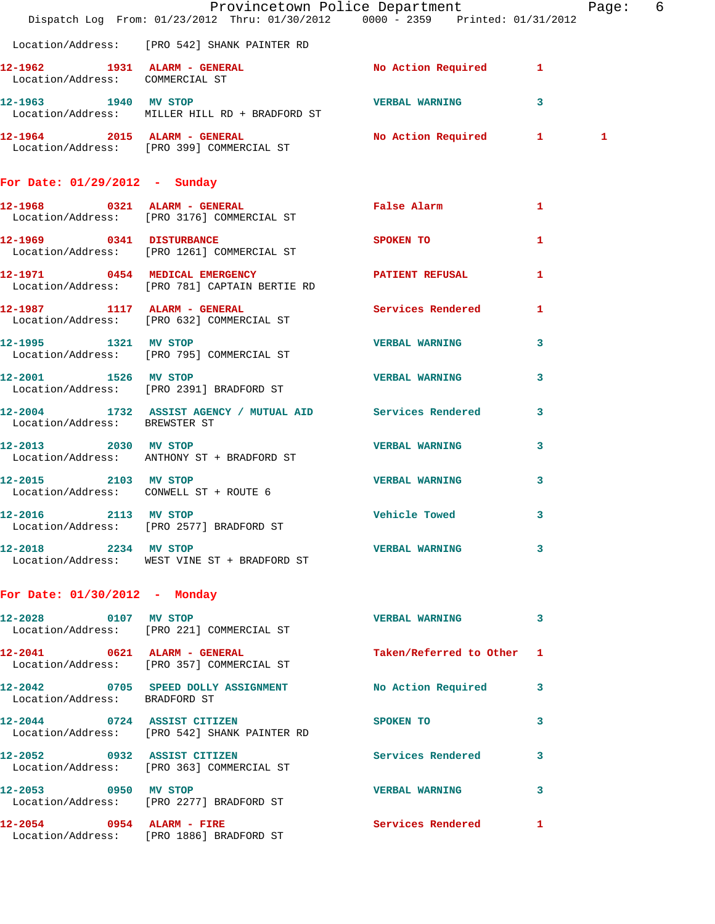|                                 | Dispatch Log From: 01/23/2012 Thru: 01/30/2012 0000 - 2359 Printed: 01/31/2012                     | Provincetown Police Department The Rage: 6                                                                                                                                                                                         |              |              |  |
|---------------------------------|----------------------------------------------------------------------------------------------------|------------------------------------------------------------------------------------------------------------------------------------------------------------------------------------------------------------------------------------|--------------|--------------|--|
|                                 | Location/Address: [PRO 542] SHANK PAINTER RD                                                       |                                                                                                                                                                                                                                    |              |              |  |
| Location/Address: COMMERCIAL ST | 12-1962 1931 ALARM - GENERAL No Action Required 1                                                  |                                                                                                                                                                                                                                    |              |              |  |
| 12-1963 1940 MV STOP            | Location/Address: MILLER HILL RD + BRADFORD ST                                                     | <b>STATE VERBAL WARNING ASSESSED.</b> THE STATE OF A STATE OF A STATE OF A STATE OF A STATE OF A STATE OF A STATE OF A STATE OF A STATE OF A STATE OF A STATE OF A STATE OF A STATE OF A STATE OF A STATE OF A STATE OF A STATE OF |              |              |  |
|                                 | 12-1964 2015 ALARM - GENERAL No Action Required 1<br>Location/Address: [PRO 399] COMMERCIAL ST     |                                                                                                                                                                                                                                    |              | $\mathbf{1}$ |  |
| For Date: $01/29/2012$ - Sunday |                                                                                                    |                                                                                                                                                                                                                                    |              |              |  |
|                                 | 12-1968 0321 ALARM - GENERAL CONTRACTE PRISE ALARM 1<br>Location/Address: [PRO 3176] COMMERCIAL ST |                                                                                                                                                                                                                                    |              |              |  |
|                                 | 12-1969 0341 DISTURBANCE<br>Location/Address: [PRO 1261] COMMERCIAL ST                             | <b>SPOKEN TO</b>                                                                                                                                                                                                                   | $\mathbf{1}$ |              |  |
|                                 | 12-1971 0454 MEDICAL EMERGENCY PATIENT REFUSAL<br>Location/Address: [PRO 781] CAPTAIN BERTIE RD    |                                                                                                                                                                                                                                    | $\mathbf{1}$ |              |  |
|                                 | 12-1987 1117 ALARM - GENERAL<br>Location/Address: [PRO 632] COMMERCIAL ST                          | Services Rendered 1                                                                                                                                                                                                                |              |              |  |
|                                 | 12-1995 1321 MV STOP 12-1995<br>Location/Address: [PRO 795] COMMERCIAL ST                          |                                                                                                                                                                                                                                    | 3            |              |  |
|                                 | 12-2001 1526 MV STOP<br>Location/Address: [PRO 2391] BRADFORD ST                                   | <b>VERBAL WARNING</b>                                                                                                                                                                                                              | 3            |              |  |
| Location/Address: BREWSTER ST   | 12-2004 1732 ASSIST AGENCY / MUTUAL AID Services Rendered 3                                        |                                                                                                                                                                                                                                    |              |              |  |
| 12-2013 2030 MV STOP            | Location/Address: ANTHONY ST + BRADFORD ST                                                         | VERBAL WARNING                                                                                                                                                                                                                     | 3            |              |  |
| 12-2015 2103 MV STOP            | Location/Address: CONWELL ST + ROUTE 6                                                             | <b>VERBAL WARNING</b>                                                                                                                                                                                                              | 3            |              |  |
| 12-2016 2113 MV STOP            | Location/Address: [PRO 2577] BRADFORD ST                                                           | Vehicle Towed 3                                                                                                                                                                                                                    |              |              |  |
| 12-2018 2234 MV STOP            | Location/Address: WEST VINE ST + BRADFORD ST                                                       | VERBAL WARNING 3                                                                                                                                                                                                                   |              |              |  |
| For Date: $01/30/2012$ - Monday |                                                                                                    |                                                                                                                                                                                                                                    |              |              |  |
| 12-2028 0107 MV STOP            | Location/Address: [PRO 221] COMMERCIAL ST                                                          | VERBAL WARNING 3                                                                                                                                                                                                                   |              |              |  |
|                                 | 12-2041 0621 ALARM - GENERAL<br>Location/Address: [PRO 357] COMMERCIAL ST                          | Taken/Referred to Other 1                                                                                                                                                                                                          |              |              |  |
| Location/Address: BRADFORD ST   | 12-2042 0705 SPEED DOLLY ASSIGNMENT No Action Required 3                                           |                                                                                                                                                                                                                                    |              |              |  |
|                                 | 12-2044 0724 ASSIST CITIZEN<br>Location/Address: [PRO 542] SHANK PAINTER RD                        | <b>SPOKEN TO</b>                                                                                                                                                                                                                   | 3            |              |  |
|                                 | 12-2052 0932 ASSIST CITIZEN<br>Location/Address: [PRO 363] COMMERCIAL ST                           | Services Rendered 3                                                                                                                                                                                                                |              |              |  |
|                                 | 12-2053 0950 MV STOP<br>Location/Address: [PRO 2277] BRADFORD ST                                   | VERBAL WARNING 3                                                                                                                                                                                                                   |              |              |  |
|                                 | 12-2054 0954 ALARM - FIRE<br>Location/Address: [PRO 1886] BRADFORD ST                              | <b>Services Rendered</b> 1                                                                                                                                                                                                         |              |              |  |
|                                 |                                                                                                    |                                                                                                                                                                                                                                    |              |              |  |